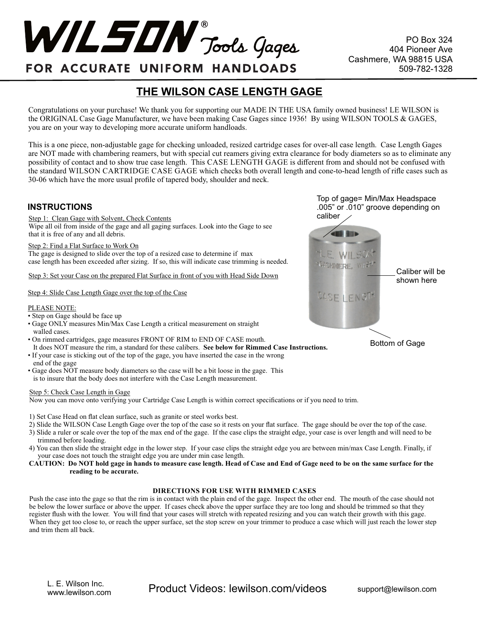$WILSIM$   $_{\text{Tools}}$   $Qage$ 

PO Box 324 404 Pioneer Ave Cashmere, WA 98815 USA 509-782-1328

# FOR ACCURATE UNIFORM HANDLOADS

# **THE WILSON CASE LENGTH GAGE**

Congratulations on your purchase! We thank you for supporting our MADE IN THE USA family owned business! LE WILSON is the ORIGINAL Case Gage Manufacturer, we have been making Case Gages since 1936! By using WILSON TOOLS & GAGES, you are on your way to developing more accurate uniform handloads.

This is a one piece, non-adjustable gage for checking unloaded, resized cartridge cases for over-all case length. Case Length Gages are NOT made with chambering reamers, but with special cut reamers giving extra clearance for body diameters so as to eliminate any possibility of contact and to show true case length. This CASE LENGTH GAGE is different from and should not be confused with the standard WILSON CARTRIDGE CASE GAGE which checks both overall length and cone-to-head length of rifle cases such as 30-06 which have the more usual profile of tapered body, shoulder and neck.

# **INSTRUCTIONS**

Step 1: Clean Gage with Solvent, Check Contents Wipe all oil from inside of the gage and all gaging surfaces. Look into the Gage to see that it is free of any and all debris.

#### Step 2: Find a Flat Surface to Work On

The gage is designed to slide over the top of a resized case to determine if max case length has been exceeded after sizing. If so, this will indicate case trimming is needed.

Step 3: Set your Case on the prepared Flat Surface in front of you with Head Side Down

# Step 4: Slide Case Length Gage over the top of the Case

# PLEASE NOTE:

• Step on Gage should be face up

- Gage ONLY measures Min/Max Case Length a critical measurement on straight walled cases.
- On rimmed cartridges, gage measures FRONT OF RIM to END OF CASE mouth. It does NOT measure the rim, a standard for these calibers. **See below for Rimmed Case Instructions.**
- If your case is sticking out of the top of the gage, you have inserted the case in the wrong
- end of the gage
- Gage does NOT measure body diameters so the case will be a bit loose in the gage. This is to insure that the body does not interfere with the Case Length measurement.

# Step 5: Check Case Length in Gage

Now you can move onto verifying your Cartridge Case Length is within correct specifications or if you need to trim.

- 1) Set Case Head on flat clean surface, such as granite or steel works best.
- 2) Slide the WILSON Case Length Gage over the top of the case so it rests on your flat surface. The gage should be over the top of the case.
- 3) Slide a ruler or scale over the top of the max end of the gage. If the case clips the straight edge, your case is over length and will need to be trimmed before loading.
- 4) You can then slide the straight edge in the lower step. If your case clips the straight edge you are between min/max Case Length. Finally, if your case does not touch the straight edge you are under min case length.
- **CAUTION: Do NOT hold gage in hands to measure case length. Head of Case and End of Gage need to be on the same surface for the reading to be accurate.**

# **DIRECTIONS FOR USE WITH RIMMED CASES**

Push the case into the gage so that the rim is in contact with the plain end of the gage. Inspect the other end. The mouth of the case should not be below the lower surface or above the upper. If cases check above the upper surface they are too long and should be trimmed so that they register flush with the lower. You will find that your cases will stretch with repeated resizing and you can watch their growth with this gage. When they get too close to, or reach the upper surface, set the stop screw on your trimmer to produce a case which will just reach the lower step and trim them all back.

Top of gage= Min/Max Headspace .005" or .010" groove depending on caliber